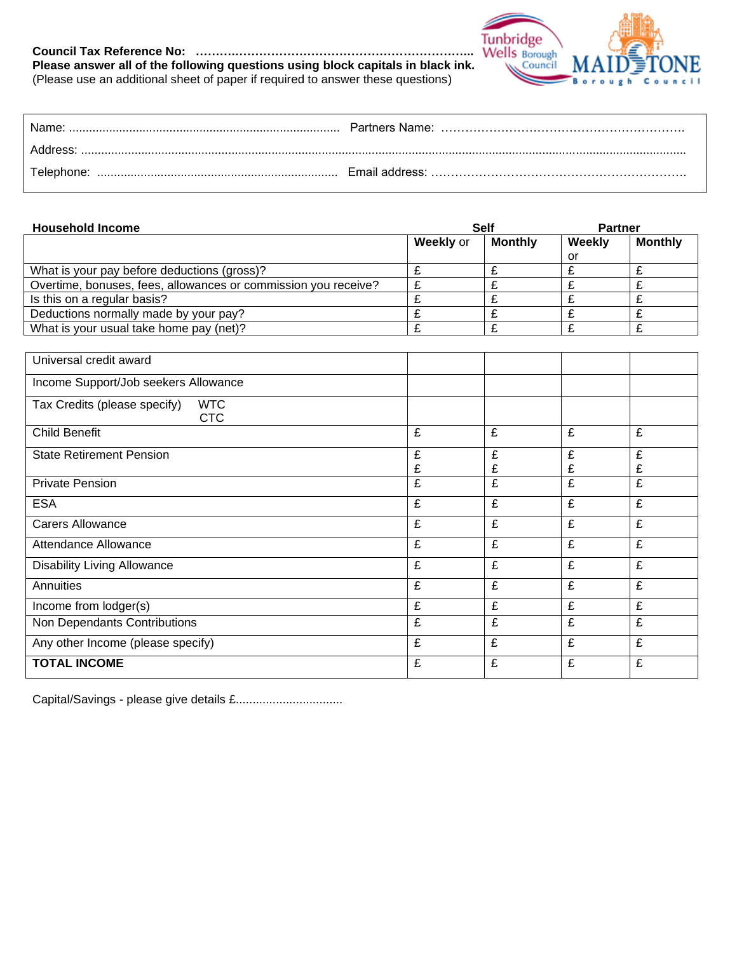## **Council Tax Reference No: ……….…………………………………………………... Please answer all of the following questions using block capitals in black ink.** Please answer all of the following questions using block capitals in black ink.<br>(Please use an additional sheet of paper if required to answer these questions)



| Name:    |  |
|----------|--|
| Address: |  |
|          |  |

| <b>Household Income</b>                                        | <b>Self</b>      |                | <b>Partner</b> |                |
|----------------------------------------------------------------|------------------|----------------|----------------|----------------|
|                                                                | <b>Weekly</b> or | <b>Monthly</b> | Weekly         | <b>Monthly</b> |
|                                                                |                  |                | or             |                |
| What is your pay before deductions (gross)?                    |                  |                |                |                |
| Overtime, bonuses, fees, allowances or commission you receive? |                  |                |                |                |
| Is this on a regular basis?                                    |                  |                |                |                |
| Deductions normally made by your pay?                          |                  |                |                |                |
| What is your usual take home pay (net)?                        |                  |                |                |                |

| Universal credit award                                   |        |        |        |        |
|----------------------------------------------------------|--------|--------|--------|--------|
| Income Support/Job seekers Allowance                     |        |        |        |        |
| Tax Credits (please specify)<br><b>WTC</b><br><b>CTC</b> |        |        |        |        |
| <b>Child Benefit</b>                                     | £      | £      | £      | £      |
| <b>State Retirement Pension</b>                          | £<br>£ | £<br>£ | £<br>£ | £<br>£ |
| <b>Private Pension</b>                                   | £      | £      | £      | £      |
| <b>ESA</b>                                               | £      | £      | £      | £      |
| <b>Carers Allowance</b>                                  | £      | £      | £      | £      |
| <b>Attendance Allowance</b>                              | £      | £      | £      | £      |
| <b>Disability Living Allowance</b>                       | £      | £      | £      | £      |
| Annuities                                                | £      | £      | £      | £      |
| Income from lodger(s)                                    | £      | £      | £      | £      |
| Non Dependants Contributions                             | £      | £      | £      | £      |
| Any other Income (please specify)                        | £      | £      | £      | £      |
| <b>TOTAL INCOME</b>                                      | £      | £      | £      | £      |

Capital/Savings - please give details £................................